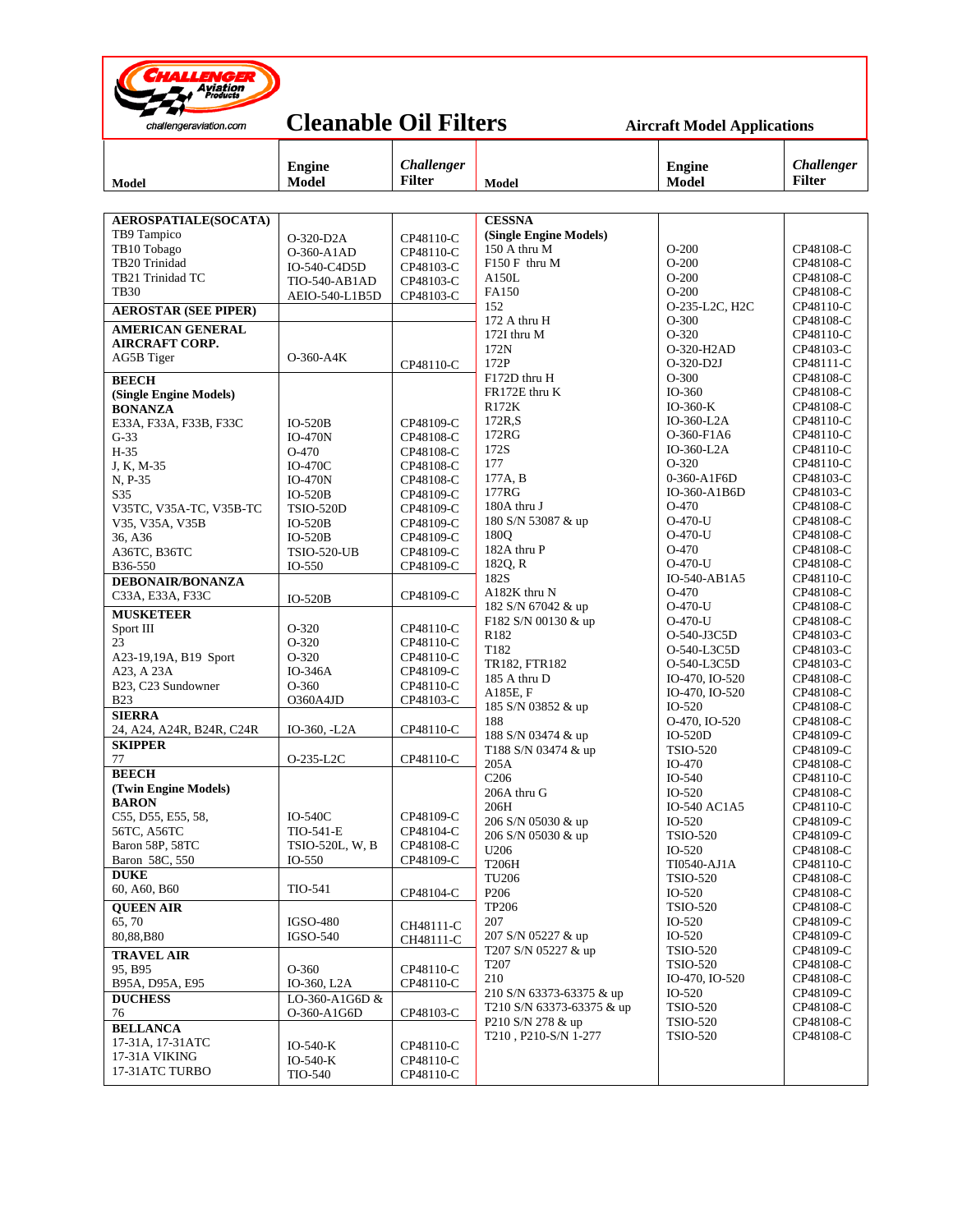

## **Cleanable Oil Filters** Aircraft Model Applications

| Model                               | <b>Engine</b><br><b>Model</b> | Challenger<br><b>Filter</b> | <b>Model</b>                            | <b>Engine</b><br><b>Model</b>      | <b>Challenger</b><br><b>Filter</b> |  |  |
|-------------------------------------|-------------------------------|-----------------------------|-----------------------------------------|------------------------------------|------------------------------------|--|--|
|                                     |                               |                             |                                         |                                    |                                    |  |  |
| AEROSPATIALE(SOCATA)<br>TB9 Tampico | O-320-D2A                     | CP48110-C                   | <b>CESSNA</b><br>(Single Engine Models) |                                    |                                    |  |  |
| TB10 Tobago                         | O-360-A1AD                    | CP48110-C                   | 150 A thru M                            | $O-200$                            | CP48108-C                          |  |  |
| TB20 Trinidad                       | IO-540-C4D5D                  | CP48103-C                   | $F150F$ thru M                          | $O-200$                            | CP48108-C                          |  |  |
| TB21 Trinidad TC                    | <b>TIO-540-AB1AD</b>          | CP48103-C                   | A150L                                   | $O-200$                            | CP48108-C                          |  |  |
| <b>TB30</b>                         | AEIO-540-L1B5D                | CP48103-C                   | FA150                                   | $O-200$                            | CP48108-C                          |  |  |
| <b>AEROSTAR (SEE PIPER)</b>         |                               |                             | 152                                     | O-235-L2C, H2C                     | CP48110-C                          |  |  |
| <b>AMERICAN GENERAL</b>             |                               |                             | 172 A thru H<br>172I thru M             | $O-300$<br>O-320                   | CP48108-C<br>CP48110-C             |  |  |
| <b>AIRCRAFT CORP.</b>               |                               |                             | 172N                                    | O-320-H2AD                         | CP48103-C                          |  |  |
| AG5B Tiger                          | $O-360-A4K$                   | CP48110-C                   | 172P                                    | $O-320-D2J$                        | CP48111-C                          |  |  |
| <b>BEECH</b>                        |                               |                             | F172D thru H                            | $O-300$                            | CP48108-C                          |  |  |
| (Single Engine Models)              |                               |                             | FR172E thru K                           | IO-360                             | CP48108-C                          |  |  |
| <b>BONANZA</b>                      |                               |                             | R172K                                   | $IO-360-K$                         | CP48108-C                          |  |  |
| E33A, F33A, F33B, F33C              | $IO-520B$                     | CP48109-C                   | 172R,S                                  | IO-360-L2A                         | CP48110-C                          |  |  |
| $G-33$                              | <b>IO-470N</b>                | CP48108-C                   | 172RG                                   | O-360-F1A6                         | CP48110-C                          |  |  |
| $H-35$                              | O-470                         | CP48108-C                   | 172S                                    | $IO-360-L2A$                       | CP48110-C                          |  |  |
| J, K, M-35                          | $IO-470C$                     | CP48108-C                   | 177                                     | O-320                              | CP48110-C                          |  |  |
| N, P-35                             | <b>IO-470N</b>                | CP48108-C                   | 177A, B                                 | 0-360-A1F6D                        | CP48103-C                          |  |  |
| S35                                 | $IO-520B$                     | CP48109-C                   | 177RG                                   | IO-360-A1B6D                       | CP48103-C                          |  |  |
| V35TC, V35A-TC, V35B-TC             | <b>TSIO-520D</b>              | CP48109-C                   | 180A thru J                             | $O-470$                            | CP48108-C                          |  |  |
| V35, V35A, V35B                     | <b>IO-520B</b>                | CP48109-C                   | 180 S/N 53087 & up                      | $O-470-U$                          | CP48108-C                          |  |  |
| 36, A36                             | <b>IO-520B</b>                | CP48109-C                   | 180Q                                    | $O-470$ -U                         | CP48108-C                          |  |  |
| A36TC, B36TC                        | <b>TSIO-520-UB</b>            | CP48109-C                   | 182A thru P                             | O-470<br>$O-470$ -U                | CP48108-C<br>CP48108-C             |  |  |
| B36-550                             | IO-550                        | CP48109-C                   | 1820, R<br>182S                         | IO-540-AB1A5                       | CP48110-C                          |  |  |
| <b>DEBONAIR/BONANZA</b>             |                               |                             | A182K thru N                            | O-470                              | CP48108-C                          |  |  |
| C33A, E33A, F33C                    | $IO-520B$                     | CP48109-C                   | 182 S/N 67042 & up                      | $O-470-U$                          | CP48108-C                          |  |  |
| <b>MUSKETEER</b>                    |                               |                             | F182 S/N 00130 & up                     | $O-470$ -U                         | CP48108-C                          |  |  |
| Sport III                           | O-320                         | CP48110-C                   | R182                                    | O-540-J3C5D                        | CP48103-C                          |  |  |
| 23                                  | O-320                         | CP48110-C                   | T182                                    | O-540-L3C5D                        | CP48103-C                          |  |  |
| A23-19,19A, B19 Sport               | O-320<br>IO-346A              | CP48110-C                   | TR182, FTR182                           | O-540-L3C5D                        | CP48103-C                          |  |  |
| A23, A 23A<br>B23, C23 Sundowner    | $O-360$                       | CP48109-C<br>CP48110-C      | 185 A thru D                            | IO-470, IO-520                     | CP48108-C                          |  |  |
| <b>B23</b>                          | O360A4JD                      | CP48103-C                   | A185E, F                                | IO-470, IO-520                     | CP48108-C                          |  |  |
| <b>SIERRA</b>                       |                               |                             | 185 S/N 03852 & up                      | $IO-520$                           | CP48108-C                          |  |  |
| 24, A24, A24R, B24R, C24R           | IO-360, -L2A                  | CP48110-C                   | 188                                     | O-470, IO-520                      | CP48108-C                          |  |  |
| <b>SKIPPER</b>                      |                               |                             | 188 S/N 03474 & up                      | IO-520D                            | CP48109-C                          |  |  |
| 77                                  | O-235-L2C                     | CP48110-C                   | T188 S/N 03474 & up<br>205A             | <b>TSIO-520</b><br>IO-470          | CP48109-C                          |  |  |
| <b>BEECH</b>                        |                               |                             | C <sub>206</sub>                        | IO-540                             | CP48108-C<br>CP48110-C             |  |  |
| (Twin Engine Models)                |                               |                             | 206A thru G                             | $IO-520$                           | CP48108-C                          |  |  |
| <b>BARON</b>                        |                               |                             | 206H                                    | <b>IO-540 AC1A5</b>                | CP48110-C                          |  |  |
| C55, D55, E55, 58,                  | <b>IO-540C</b>                | CP48109-C                   | 206 S/N 05030 & up                      | $IO-520$                           | CP48109-C                          |  |  |
| 56TC, A56TC                         | TIO-541-E                     | CP48104-C                   | 206 S/N 05030 & up                      | <b>TSIO-520</b>                    | CP48109-C                          |  |  |
| Baron 58P, 58TC                     | TSIO-520L, W, B               | CP48108-C                   | U206                                    | $IO-520$                           | CP48108-C                          |  |  |
| Baron 58C, 550                      | $IO-550$                      | CP48109-C                   | <b>T206H</b>                            | TI0540-AJ1A                        | CP48110-C                          |  |  |
| <b>DUKE</b>                         |                               |                             | <b>TU206</b>                            | <b>TSIO-520</b>                    | CP48108-C                          |  |  |
| 60, A60, B60                        | TIO-541                       | CP48104-C                   | P206                                    | IO-520                             | CP48108-C                          |  |  |
| <b>OUEEN AIR</b>                    |                               |                             | <b>TP206</b>                            | <b>TSIO-520</b>                    | CP48108-C                          |  |  |
| 65, 70                              | <b>IGSO-480</b>               | CH48111-C                   | 207                                     | $IO-520$                           | CP48109-C                          |  |  |
| 80,88,B80                           | <b>IGSO-540</b>               | CH48111-C                   | 207 S/N 05227 & up                      | $IO-520$                           | CP48109-C                          |  |  |
| <b>TRAVEL AIR</b>                   |                               |                             | T207 S/N 05227 & up<br>T207             | <b>TSIO-520</b><br><b>TSIO-520</b> | CP48109-C<br>CP48108-C             |  |  |
| 95, B95                             | $O-360$                       | CP48110-C                   | 210                                     | IO-470, IO-520                     | CP48108-C                          |  |  |
| B95A, D95A, E95                     | IO-360, L2A                   | CP48110-C                   | 210 S/N 63373-63375 & up                | $IO-520$                           | CP48109-C                          |  |  |
| <b>DUCHESS</b>                      | LO-360-A1G6D &                |                             | T210 S/N 63373-63375 & up               | <b>TSIO-520</b>                    | CP48108-C                          |  |  |
| 76                                  | O-360-A1G6D                   | CP48103-C                   | P210 S/N 278 & up                       | <b>TSIO-520</b>                    | CP48108-C                          |  |  |
| <b>BELLANCA</b>                     |                               |                             | T210, P210-S/N 1-277                    | <b>TSIO-520</b>                    | CP48108-C                          |  |  |
| 17-31A, 17-31ATC                    | $IO-540-K$                    | CP48110-C                   |                                         |                                    |                                    |  |  |
| 17-31A VIKING<br>17-31ATC TURBO     | $IO-540-K$                    | CP48110-C                   |                                         |                                    |                                    |  |  |
|                                     | <b>TIO-540</b>                | CP48110-C                   |                                         |                                    |                                    |  |  |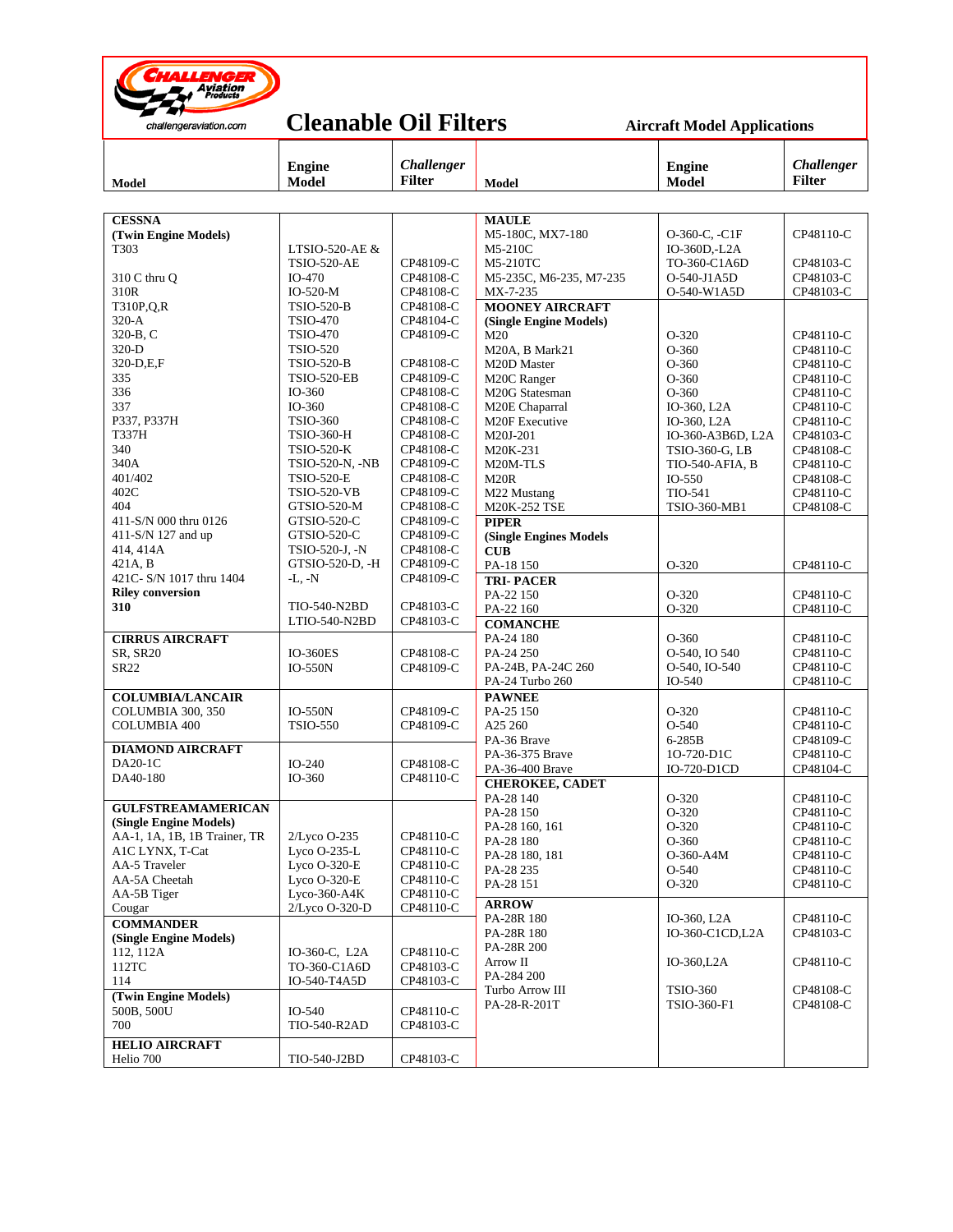

## **Cleanable Oil Filters** Aircraft Model Applications

| Model                                 | <b>Engine</b><br><b>Model</b>     | <b>Challenger</b><br><b>Filter</b> | <b>Model</b>                     | <b>Engine</b><br><b>Model</b>    | <b>Challenger</b><br><b>Filter</b> |
|---------------------------------------|-----------------------------------|------------------------------------|----------------------------------|----------------------------------|------------------------------------|
|                                       |                                   |                                    |                                  |                                  |                                    |
|                                       |                                   |                                    |                                  |                                  |                                    |
| <b>CESSNA</b><br>(Twin Engine Models) |                                   |                                    | <b>MAULE</b><br>M5-180C, MX7-180 | O-360-C, -C1F                    | CP48110-C                          |
| T303                                  | LTSIO-520-AE &                    |                                    | M5-210C                          | IO-360D,-L2A                     |                                    |
|                                       | <b>TSIO-520-AE</b>                | CP48109-C                          | M5-210TC                         | TO-360-C1A6D                     | CP48103-C                          |
| 310 C thru Q                          | IO-470                            | CP48108-C                          | M5-235C, M6-235, M7-235          | O-540-J1A5D                      | CP48103-C                          |
| 310R                                  | $IO-520-M$                        | CP48108-C                          | MX-7-235                         | O-540-W1A5D                      | CP48103-C                          |
| T310P, Q, R                           | <b>TSIO-520-B</b>                 | CP48108-C                          | <b>MOONEY AIRCRAFT</b>           |                                  |                                    |
| $320-A$                               | <b>TSIO-470</b>                   | CP48104-C                          | (Single Engine Models)           |                                  |                                    |
| 320-B, C                              | <b>TSIO-470</b>                   | CP48109-C                          | M20                              | O-320                            | CP48110-C                          |
| 320-D                                 | <b>TSIO-520</b>                   |                                    | M20A, B Mark21                   | $O-360$                          | CP48110-C                          |
| 320-D,E,F                             | <b>TSIO-520-B</b>                 | CP48108-C                          | M20D Master                      | $O-360$                          | CP48110-C                          |
| 335                                   | <b>TSIO-520-EB</b>                | CP48109-C                          | M20C Ranger                      | $O-360$                          | CP48110-C                          |
| 336                                   | IO-360                            | CP48108-C                          | M20G Statesman                   | $O-360$                          | CP48110-C                          |
| 337<br>P337, P337H                    | IO-360<br><b>TSIO-360</b>         | CP48108-C<br>CP48108-C             | M20E Chaparral                   | IO-360, L2A                      | CP48110-C                          |
| T337H                                 | <b>TSIO-360-H</b>                 | CP48108-C                          | M20F Executive<br>M20J-201       | IO-360, L2A<br>IO-360-A3B6D, L2A | CP48110-C<br>CP48103-C             |
| 340                                   | <b>TSIO-520-K</b>                 | CP48108-C                          | M20K-231                         | TSIO-360-G, LB                   | CP48108-C                          |
| 340A                                  | TSIO-520-N, -NB                   | CP48109-C                          | M20M-TLS                         | TIO-540-AFIA, B                  | CP48110-C                          |
| 401/402                               | <b>TSIO-520-E</b>                 | CP48108-C                          | M <sub>20</sub> R                | $IO-550$                         | CP48108-C                          |
| 402C                                  | <b>TSIO-520-VB</b>                | CP48109-C                          | M22 Mustang                      | TIO-541                          | CP48110-C                          |
| 404                                   | GTSIO-520-M                       | CP48108-C                          | M20K-252 TSE                     | TSIO-360-MB1                     | CP48108-C                          |
| 411-S/N 000 thru 0126                 | GTSIO-520-C                       | CP48109-C                          | <b>PIPER</b>                     |                                  |                                    |
| 411-S/N 127 and up                    | GTSIO-520-C                       | CP48109-C                          | (Single Engines Models           |                                  |                                    |
| 414, 414A                             | TSIO-520-J, -N                    | CP48108-C                          | <b>CUB</b>                       |                                  |                                    |
| 421A.B                                | GTSIO-520-D, -H                   | CP48109-C                          | PA-18 150                        | O-320                            | CP48110-C                          |
| 421C- S/N 1017 thru 1404              | $-L, -N$                          | CP48109-C                          | <b>TRI-PACER</b>                 |                                  |                                    |
| <b>Riley conversion</b>               |                                   |                                    | PA-22 150                        | O-320                            | CP48110-C                          |
| 310                                   | TIO-540-N2BD<br>LTIO-540-N2BD     | CP48103-C<br>CP48103-C             | PA-22 160                        | O-320                            | CP48110-C                          |
|                                       |                                   |                                    | <b>COMANCHE</b>                  |                                  |                                    |
| <b>CIRRUS AIRCRAFT</b>                |                                   |                                    | PA-24 180<br>PA-24 250           | $O-360$<br>O-540, IO 540         | CP48110-C<br>CP48110-C             |
| SR, SR20<br>SR22                      | <b>IO-360ES</b><br><b>IO-550N</b> | CP48108-C<br>CP48109-C             | PA-24B, PA-24C 260               | O-540, IO-540                    | CP48110-C                          |
|                                       |                                   |                                    | PA-24 Turbo 260                  | IO-540                           | CP48110-C                          |
| <b>COLUMBIA/LANCAIR</b>               |                                   |                                    | <b>PAWNEE</b>                    |                                  |                                    |
| COLUMBIA 300, 350                     | $IO-550N$                         | CP48109-C                          | PA-25 150                        | O-320                            | CP48110-C                          |
| <b>COLUMBIA 400</b>                   | <b>TSIO-550</b>                   | CP48109-C                          | A25 260                          | O-540                            | CP48110-C                          |
|                                       |                                   |                                    | PA-36 Brave                      | 6-285B                           | CP48109-C                          |
| <b>DIAMOND AIRCRAFT</b>               |                                   |                                    | PA-36-375 Brave                  | 10-720-D1C                       | CP48110-C                          |
| DA20-1C                               | $IO-240$                          | CP48108-C                          | PA-36-400 Brave                  | IO-720-D1CD                      | CP48104-C                          |
| DA40-180                              | IO-360                            | CP48110-C                          | <b>CHEROKEE, CADET</b>           |                                  |                                    |
| <b>GULFSTREAMAMERICAN</b>             |                                   |                                    | PA-28 140                        | $O-320$                          | CP48110-C                          |
| (Single Engine Models)                |                                   |                                    | PA-28 150                        | O-320                            | CP48110-C                          |
| AA-1, 1A, 1B, 1B Trainer, TR          | $2/L$ yco O-235                   | CP48110-C                          | PA-28 160, 161                   | O-320                            | CP48110-C                          |
| A1C LYNX, T-Cat                       | Lyco O-235-L                      | CP48110-C                          | PA-28 180                        | $O-360$<br>O-360-A4M             | CP48110-C                          |
| AA-5 Traveler                         | Lyco O-320-E                      | CP48110-C                          | PA-28 180, 181<br>PA-28 235      | $O-540$                          | CP48110-C<br>CP48110-C             |
| AA-5A Cheetah                         | Lyco O-320-E                      | CP48110-C                          | PA-28 151                        | O-320                            | CP48110-C                          |
| AA-5B Tiger                           | Lyco-360-A4 $K$                   | CP48110-C                          |                                  |                                  |                                    |
| Cougar                                | 2/Lyco O-320-D                    | CP48110-C                          | <b>ARROW</b>                     |                                  |                                    |
| <b>COMMANDER</b>                      |                                   |                                    | PA-28R 180                       | IO-360, L2A<br>IO-360-C1CD,L2A   | CP48110-C                          |
| (Single Engine Models)                |                                   |                                    | PA-28R 180<br>PA-28R 200         |                                  | CP48103-C                          |
| 112, 112A                             | IO-360-C, L2A                     | CP48110-C                          | Arrow II                         | $IO-360, L2A$                    | CP48110-C                          |
| 112TC                                 | TO-360-C1A6D                      | CP48103-C                          | PA-284 200                       |                                  |                                    |
| 114                                   | IO-540-T4A5D                      | CP48103-C                          | Turbo Arrow III                  | <b>TSIO-360</b>                  | CP48108-C                          |
| (Twin Engine Models)                  |                                   |                                    | PA-28-R-201T                     | TSIO-360-F1                      | CP48108-C                          |
| 500B, 500U                            | IO-540<br>TIO-540-R2AD            | CP48110-C                          |                                  |                                  |                                    |
| 700                                   |                                   | CP48103-C                          |                                  |                                  |                                    |
| <b>HELIO AIRCRAFT</b>                 |                                   |                                    |                                  |                                  |                                    |
| Helio 700                             | TIO-540-J2BD                      | CP48103-C                          |                                  |                                  |                                    |